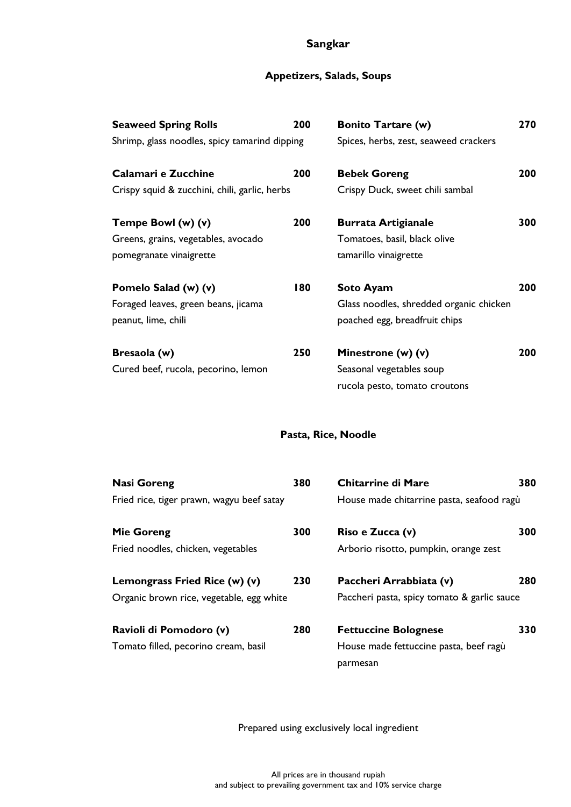# **Sangkar**

# **Appetizers, Salads, Soups**

| <b>Seaweed Spring Rolls</b><br>Shrimp, glass noodles, spicy tamarind dipping         | 200 | <b>Bonito Tartare (w)</b><br>Spices, herbs, zest, seaweed crackers                           | 270 |
|--------------------------------------------------------------------------------------|-----|----------------------------------------------------------------------------------------------|-----|
| Calamari e Zucchine<br>Crispy squid & zucchini, chili, garlic, herbs                 | 200 | <b>Bebek Goreng</b><br>Crispy Duck, sweet chili sambal                                       | 200 |
| Tempe Bowl (w) (v)<br>Greens, grains, vegetables, avocado<br>pomegranate vinaigrette | 200 | <b>Burrata Artigianale</b><br>Tomatoes, basil, black olive<br>tamarillo vinaigrette          | 300 |
| Pomelo Salad (w) (v)<br>Foraged leaves, green beans, jicama<br>peanut, lime, chili   | 180 | <b>Soto Ayam</b><br>Glass noodles, shredded organic chicken<br>poached egg, breadfruit chips | 200 |
| Bresaola (w)<br>Cured beef, rucola, pecorino, lemon                                  | 250 | Minestrone (w) (v)<br>Seasonal vegetables soup<br>rucola pesto, tomato croutons              | 200 |

# **Pasta, Rice, Noodle**

| <b>Nasi Goreng</b>                        | 380 | <b>Chitarrine di Mare</b>                   | 380 |
|-------------------------------------------|-----|---------------------------------------------|-----|
| Fried rice, tiger prawn, wagyu beef satay |     | House made chitarrine pasta, seafood ragù   |     |
| <b>Mie Goreng</b>                         | 300 | Riso e Zucca (v)                            | 300 |
| Fried noodles, chicken, vegetables        |     | Arborio risotto, pumpkin, orange zest       |     |
| Lemongrass Fried Rice (w) (v)             | 230 | Paccheri Arrabbiata (v)                     | 280 |
| Organic brown rice, vegetable, egg white  |     | Paccheri pasta, spicy tomato & garlic sauce |     |
| Ravioli di Pomodoro (v)                   | 280 | <b>Fettuccine Bolognese</b>                 | 330 |
| Tomato filled, pecorino cream, basil      |     | House made fettuccine pasta, beef ragù      |     |
|                                           |     | parmesan                                    |     |

Prepared using exclusively local ingredient